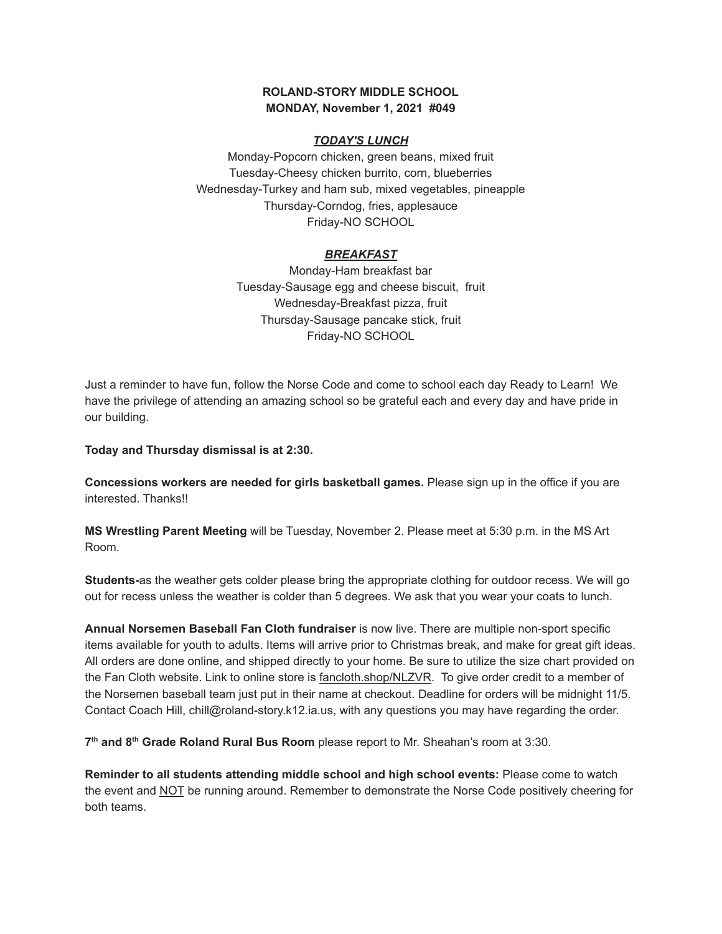## **ROLAND-STORY MIDDLE SCHOOL MONDAY, November 1, 2021 #049**

### *TODAY'S LUNCH*

Monday-Popcorn chicken, green beans, mixed fruit Tuesday-Cheesy chicken burrito, corn, blueberries Wednesday-Turkey and ham sub, mixed vegetables, pineapple Thursday-Corndog, fries, applesauce Friday-NO SCHOOL

## *BREAKFAST*

Monday-Ham breakfast bar Tuesday-Sausage egg and cheese biscuit, fruit Wednesday-Breakfast pizza, fruit Thursday-Sausage pancake stick, fruit Friday-NO SCHOOL

Just a reminder to have fun, follow the Norse Code and come to school each day Ready to Learn! We have the privilege of attending an amazing school so be grateful each and every day and have pride in our building.

**Today and Thursday dismissal is at 2:30.**

**Concessions workers are needed for girls basketball games.** Please sign up in the office if you are interested. Thanks!!

**MS Wrestling Parent Meeting** will be Tuesday, November 2. Please meet at 5:30 p.m. in the MS Art Room.

**Students-**as the weather gets colder please bring the appropriate clothing for outdoor recess. We will go out for recess unless the weather is colder than 5 degrees. We ask that you wear your coats to lunch.

**Annual Norsemen Baseball Fan Cloth fundraiser** is now live. There are multiple non-sport specific items available for youth to adults. Items will arrive prior to Christmas break, and make for great gift ideas. All orders are done online, and shipped directly to your home. Be sure to utilize the size chart provided on the Fan Cloth website. Link to online store is [fancloth.shop/NLZVR.](http://fancloth.shop/NLZVR) To give order credit to a member of the Norsemen baseball team just put in their name at checkout. Deadline for orders will be midnight 11/5. Contact Coach Hill, chill@roland-story.k12.ia.us, with any questions you may have regarding the order.

**7 th and 8 th Grade Roland Rural Bus Room** please report to Mr. Sheahan's room at 3:30.

**Reminder to all students attending middle school and high school events:** Please come to watch the event and NOT be running around. Remember to demonstrate the Norse Code positively cheering for both teams.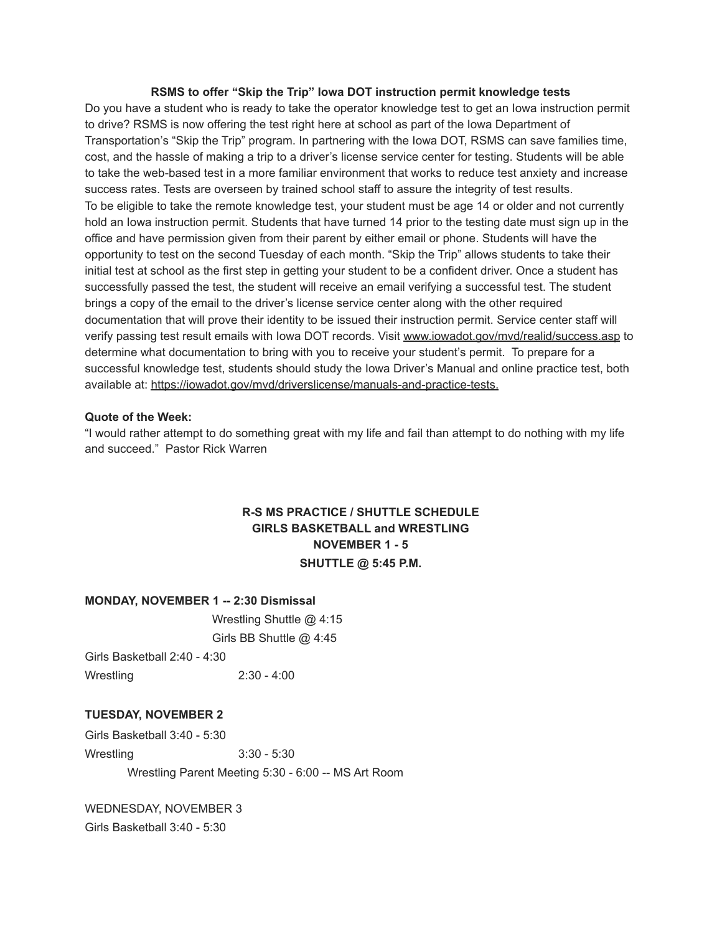### **RSMS to offer "Skip the Trip" Iowa DOT instruction permit knowledge tests**

Do you have a student who is ready to take the operator knowledge test to get an Iowa instruction permit to drive? RSMS is now offering the test right here at school as part of the Iowa Department of Transportation's "Skip the Trip" program. In partnering with the Iowa DOT, RSMS can save families time, cost, and the hassle of making a trip to a driver's license service center for testing. Students will be able to take the web-based test in a more familiar environment that works to reduce test anxiety and increase success rates. Tests are overseen by trained school staff to assure the integrity of test results. To be eligible to take the remote knowledge test, your student must be age 14 or older and not currently hold an Iowa instruction permit. Students that have turned 14 prior to the testing date must sign up in the office and have permission given from their parent by either email or phone. Students will have the opportunity to test on the second Tuesday of each month. "Skip the Trip" allows students to take their initial test at school as the first step in getting your student to be a confident driver. Once a student has successfully passed the test, the student will receive an email verifying a successful test. The student brings a copy of the email to the driver's license service center along with the other required documentation that will prove their identity to be issued their instruction permit. Service center staff will verify passing test result emails with Iowa DOT records. Visit [www.iowadot.gov/mvd/realid/success.asp](http://www.iowadot.gov/mvd/realid/success.asp) to determine what documentation to bring with you to receive your student's permit. To prepare for a successful knowledge test, students should study the Iowa Driver's Manual and online practice test, both available at: <https://iowadot.gov/mvd/driverslicense/manuals-and-practice-tests>.

#### **Quote of the Week:**

"I would rather attempt to do something great with my life and fail than attempt to do nothing with my life and succeed." Pastor Rick Warren

# **R-S MS PRACTICE / SHUTTLE SCHEDULE GIRLS BASKETBALL and WRESTLING NOVEMBER 1 - 5 SHUTTLE @ 5:45 P.M.**

#### **MONDAY, NOVEMBER 1 -- 2:30 Dismissal**

Wrestling Shuttle @ 4:15 Girls BB Shuttle @ 4:45 Girls Basketball 2:40 - 4:30 Wrestling 2:30 - 4:00

### **TUESDAY, NOVEMBER 2**

Girls Basketball 3:40 - 5:30 Wrestling 3:30 - 5:30 Wrestling Parent Meeting 5:30 - 6:00 -- MS Art Room

WEDNESDAY, NOVEMBER 3

Girls Basketball 3:40 - 5:30